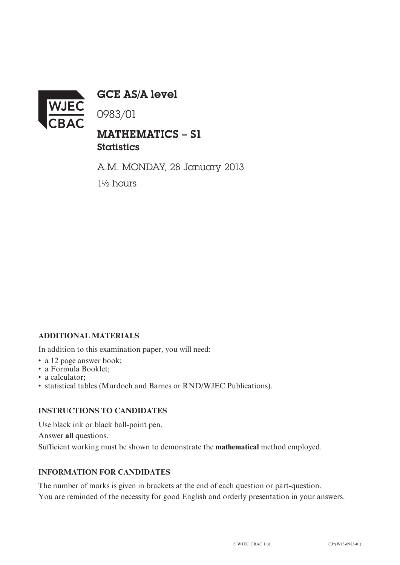

GCE AS/A level

0983/01

## MATHEMATICS – S1 **Statistics**

A.M. MONDAY, 28 January 2013 1½ hours

## **ADDITIONAL MATERIALS**

In addition to this examination paper, you will need:

- a 12 page answer book;
- a Formula Booklet;
- a calculator:
- statistical tables (Murdoch and Barnes or RND/WJEC Publications).

## **INSTRUCTIONS TO CANDIDATES**

Use black ink or black ball-point pen.

Answer **all** questions.

Sufficient working must be shown to demonstrate the **mathematical** method employed.

## **INFORMATION FOR CANDIDATES**

The number of marks is given in brackets at the end of each question or part-question. You are reminded of the necessity for good English and orderly presentation in your answers.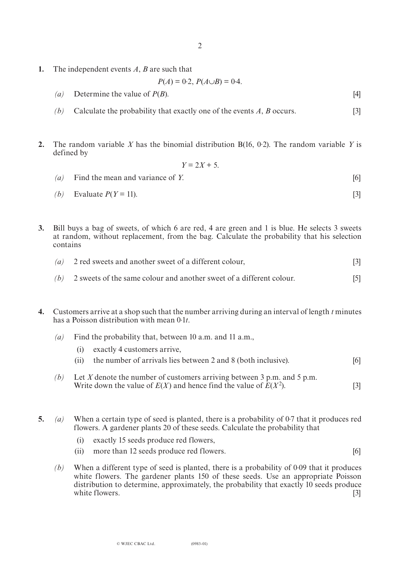**1.** The independent events *A*, *B* are such that

 $P(A) = 0.2, P(A \cup B) = 0.4.$ 

- *(a)* Determine the value of *P*(*B*). [4]
- *(b)* Calculate the probability that exactly one of the events *A*, *B* occurs. [3]
- **2.** The random variable *X* has the binomial distribution B(16, 0. 2). The random variable *Y* is defined by

$$
Y = 2X + 5.
$$

*(a)* Find the mean and variance of *Y*. [6]

(b) Evaluate 
$$
P(Y = 11)
$$
. 
$$
\tag{3}
$$

- **3.** Bill buys a bag of sweets, of which 6 are red, 4 are green and 1 is blue. He selects 3 sweets at random, without replacement, from the bag. Calculate the probability that his selection contains
	- *(a)* 2 red sweets and another sweet of a different colour, [3]
	- *(b)* 2 sweets of the same colour and another sweet of a different colour. [5]
- **4.** Customers arrive at a shop such that the number arriving during an interval of length *t* minutes has a Poisson distribution with mean 0. 1*t*.
	- *(a)* Find the probability that, between 10 a.m. and 11 a.m.,
		- (i) exactly 4 customers arrive,
		- (ii) the number of arrivals lies between 2 and 8 (both inclusive). [6]
	- *(b)* Let *X* denote the number of customers arriving between 3 p.m. and 5 p.m. Write down the value of  $E(X)$  and hence find the value of  $E(X^2)$ .  $\left[3\right]$
- **5.** *(a)* When a certain type of seed is planted, there is a probability of 0. 7 that it produces red flowers. A gardener plants 20 of these seeds. Calculate the probability that
	- (i) exactly 15 seeds produce red flowers,
	- (ii) more than 12 seeds produce red flowers. [6]
	- *(b)* When a different type of seed is planted, there is a probability of 0. 09 that it produces white flowers. The gardener plants 150 of these seeds. Use an appropriate Poisson distribution to determine, approximately, the probability that exactly 10 seeds produce white flowers. [3]